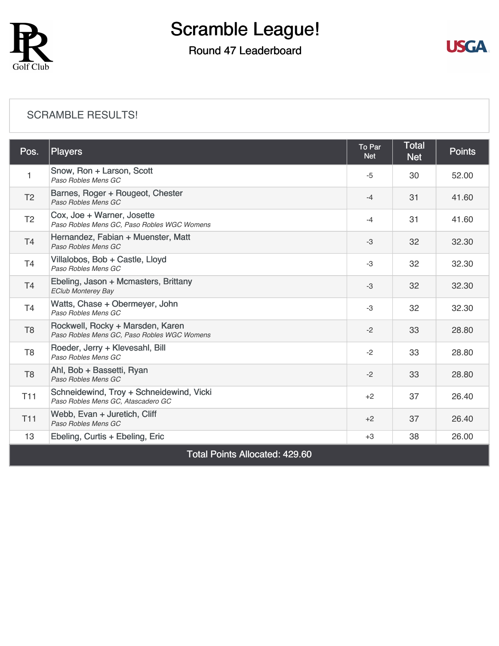

### Round 47 Leaderboard



#### [SCRAMBLE RESULTS!](https://cdn2.golfgenius.com/v2tournaments/8225283427381853933?called_from=&round_index=47)

| Pos.                                  | <b>Players</b>                                                                  | To Par<br><b>Net</b> | <b>Total</b><br><b>Net</b> | <b>Points</b> |  |
|---------------------------------------|---------------------------------------------------------------------------------|----------------------|----------------------------|---------------|--|
| 1                                     | Snow, Ron + Larson, Scott<br>Paso Robles Mens GC                                | $-5$                 | 30                         | 52.00         |  |
| T <sub>2</sub>                        | Barnes, Roger + Rougeot, Chester<br>Paso Robles Mens GC                         | $-4$                 | 31                         | 41.60         |  |
| T <sub>2</sub>                        | Cox, Joe + Warner, Josette<br>Paso Robles Mens GC, Paso Robles WGC Womens       | $-4$                 | 31                         | 41.60         |  |
| T <sub>4</sub>                        | Hernandez, Fabian + Muenster, Matt<br>Paso Robles Mens GC                       | $-3$                 | 32                         | 32.30         |  |
| T4                                    | Villalobos, Bob + Castle, Lloyd<br>Paso Robles Mens GC                          | $-3$                 | 32                         | 32.30         |  |
| T <sub>4</sub>                        | Ebeling, Jason + Mcmasters, Brittany<br><b>EClub Monterey Bay</b>               | -3                   | 32                         | 32.30         |  |
| T4                                    | Watts, Chase + Obermeyer, John<br>Paso Robles Mens GC                           | -3                   | 32                         | 32.30         |  |
| T <sub>8</sub>                        | Rockwell, Rocky + Marsden, Karen<br>Paso Robles Mens GC, Paso Robles WGC Womens | $-2$                 | 33                         | 28.80         |  |
| T <sub>8</sub>                        | Roeder, Jerry + Klevesahl, Bill<br>Paso Robles Mens GC                          | $-2$                 | 33                         | 28.80         |  |
| T <sub>8</sub>                        | Ahl, Bob + Bassetti, Ryan<br>Paso Robles Mens GC                                | $-2$                 | 33                         | 28.80         |  |
| <b>T11</b>                            | Schneidewind, Troy + Schneidewind, Vicki<br>Paso Robles Mens GC, Atascadero GC  | $+2$                 | 37                         | 26.40         |  |
| T <sub>11</sub>                       | Webb, Evan + Juretich, Cliff<br>Paso Robles Mens GC                             | $+2$                 | 37                         | 26.40         |  |
| 13                                    | Ebeling, Curtis + Ebeling, Eric                                                 | $+3$                 | 38                         | 26.00         |  |
| <b>Total Points Allocated: 429.60</b> |                                                                                 |                      |                            |               |  |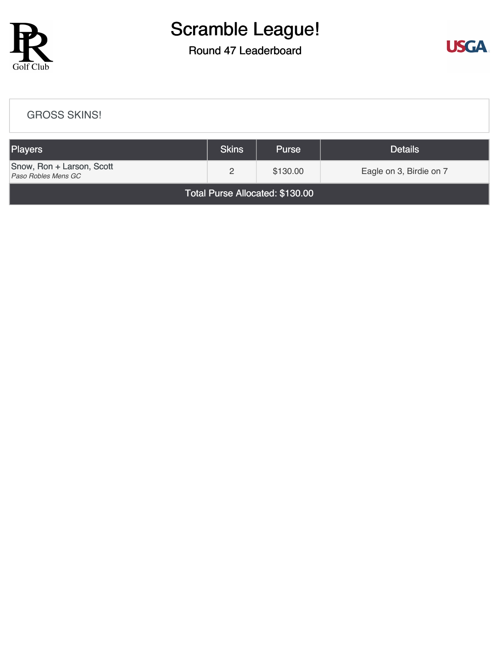

### Round 47 Leaderboard



| <b>GROSS SKINS!</b>                              |              |              |                         |  |  |  |
|--------------------------------------------------|--------------|--------------|-------------------------|--|--|--|
| Players                                          | <b>Skins</b> | <b>Purse</b> | <b>Details</b>          |  |  |  |
| Snow, Ron + Larson, Scott<br>Paso Robles Mens GC | 2            | \$130.00     | Eagle on 3, Birdie on 7 |  |  |  |
| Total Purse Allocated: \$130.00                  |              |              |                         |  |  |  |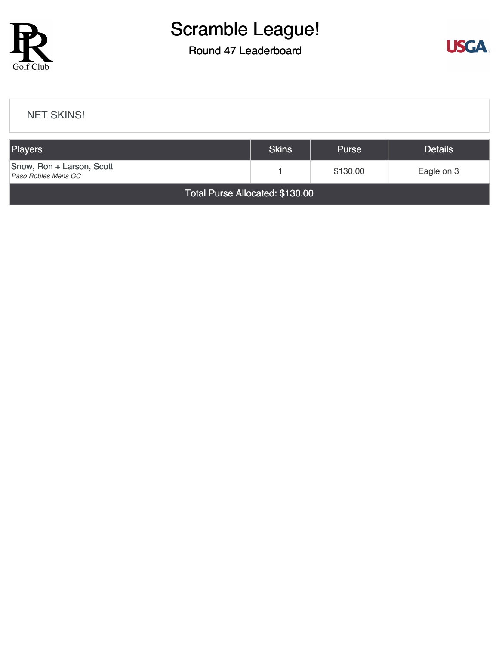

### Round 47 Leaderboard



#### [NET SKINS!](https://cdn2.golfgenius.com/v2tournaments/8225285538760933103?called_from=&round_index=47)

| <b>Players</b>                                   | <b>Skins</b> | <b>Purse</b> | <b>Details</b> |  |  |  |
|--------------------------------------------------|--------------|--------------|----------------|--|--|--|
| Snow, Ron + Larson, Scott<br>Paso Robles Mens GC |              | \$130.00     | Eagle on 3     |  |  |  |
| Total Purse Allocated: \$130.00                  |              |              |                |  |  |  |